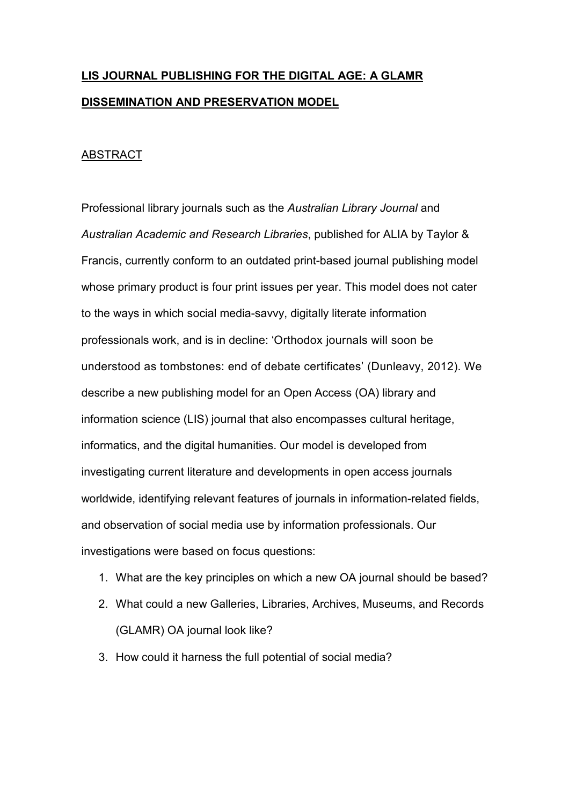# **LIS JOURNAL PUBLISHING FOR THE DIGITAL AGE: A GLAMR DISSEMINATION AND PRESERVATION MODEL**

# ABSTRACT

Professional library journals such as the *Australian Library Journal* and *Australian Academic and Research Libraries*, published for ALIA by Taylor & Francis, currently conform to an outdated print-based journal publishing model whose primary product is four print issues per year. This model does not cater to the ways in which social media-savvy, digitally literate information professionals work, and is in decline: 'Orthodox journals will soon be understood as tombstones: end of debate certificates' (Dunleavy, 2012). We describe a new publishing model for an Open Access (OA) library and information science (LIS) journal that also encompasses cultural heritage, informatics, and the digital humanities. Our model is developed from investigating current literature and developments in open access journals worldwide, identifying relevant features of journals in information-related fields, and observation of social media use by information professionals. Our investigations were based on focus questions:

- 1. What are the key principles on which a new OA journal should be based?
- 2. What could a new Galleries, Libraries, Archives, Museums, and Records (GLAMR) OA journal look like?
- 3. How could it harness the full potential of social media?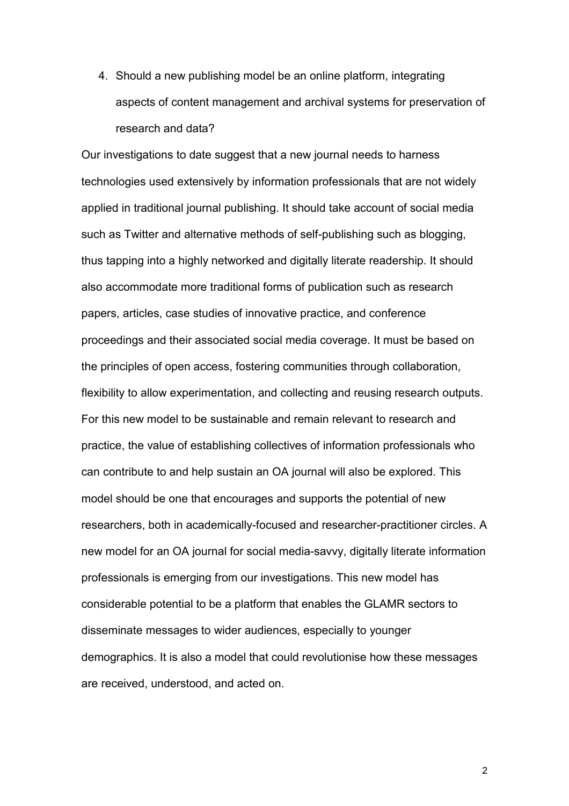4. Should a new publishing model be an online platform, integrating aspects of content management and archival systems for preservation of research and data?

Our investigations to date suggest that a new journal needs to harness technologies used extensively by information professionals that are not widely applied in traditional journal publishing. It should take account of social media such as Twitter and alternative methods of self-publishing such as blogging, thus tapping into a highly networked and digitally literate readership. It should also accommodate more traditional forms of publication such as research papers, articles, case studies of innovative practice, and conference proceedings and their associated social media coverage. It must be based on the principles of open access, fostering communities through collaboration, flexibility to allow experimentation, and collecting and reusing research outputs. For this new model to be sustainable and remain relevant to research and practice, the value of establishing collectives of information professionals who can contribute to and help sustain an OA journal will also be explored. This model should be one that encourages and supports the potential of new researchers, both in academically-focused and researcher-practitioner circles. A new model for an OA journal for social media-savvy, digitally literate information professionals is emerging from our investigations. This new model has considerable potential to be a platform that enables the GLAMR sectors to disseminate messages to wider audiences, especially to younger demographics. It is also a model that could revolutionise how these messages are received, understood, and acted on.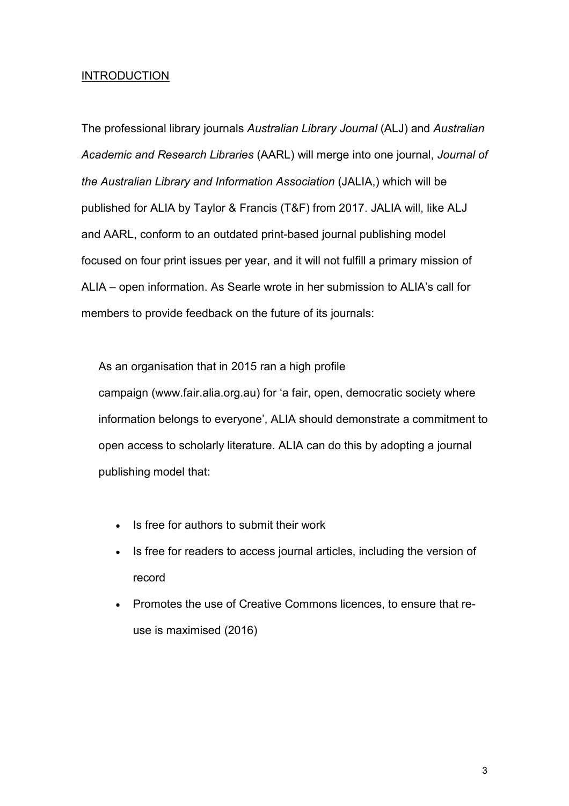# **INTRODUCTION**

The professional library journals *Australian Library Journal* (ALJ) and *Australian Academic and Research Libraries* (AARL) will merge into one journal, *Journal of the Australian Library and Information Association* (JALIA,) which will be published for ALIA by Taylor & Francis (T&F) from 2017. JALIA will, like ALJ and AARL, conform to an outdated print-based journal publishing model focused on four print issues per year, and it will not fulfill a primary mission of ALIA – open information. As Searle wrote in her submission to ALIA's call for members to provide feedback on the future of its journals:

As an organisation that in 2015 ran a high profile campaign (www.fair.alia.org.au) for 'a fair, open, democratic society where information belongs to everyone', ALIA should demonstrate a commitment to open access to scholarly literature. ALIA can do this by adopting a journal publishing model that:

- Is free for authors to submit their work
- Is free for readers to access journal articles, including the version of record
- Promotes the use of Creative Commons licences, to ensure that reuse is maximised (2016)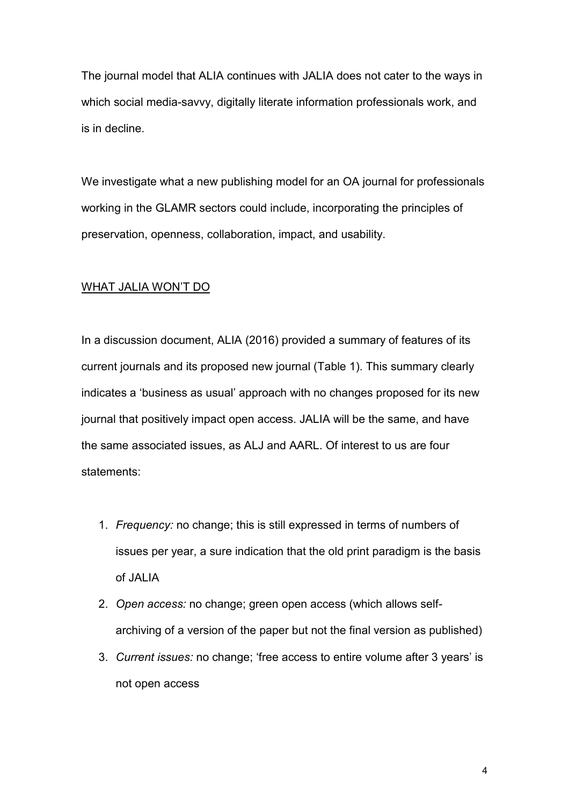The journal model that ALIA continues with JALIA does not cater to the ways in which social media-savvy, digitally literate information professionals work, and is in decline.

We investigate what a new publishing model for an OA journal for professionals working in the GLAMR sectors could include, incorporating the principles of preservation, openness, collaboration, impact, and usability.

## WHAT JALIA WON'T DO

In a discussion document, ALIA (2016) provided a summary of features of its current journals and its proposed new journal (Table 1). This summary clearly indicates a 'business as usual' approach with no changes proposed for its new journal that positively impact open access. JALIA will be the same, and have the same associated issues, as ALJ and AARL. Of interest to us are four statements:

- 1. *Frequency:* no change; this is still expressed in terms of numbers of issues per year, a sure indication that the old print paradigm is the basis of JALIA
- 2. *Open access:* no change; green open access (which allows selfarchiving of a version of the paper but not the final version as published)
- 3. *Current issues:* no change; 'free access to entire volume after 3 years' is not open access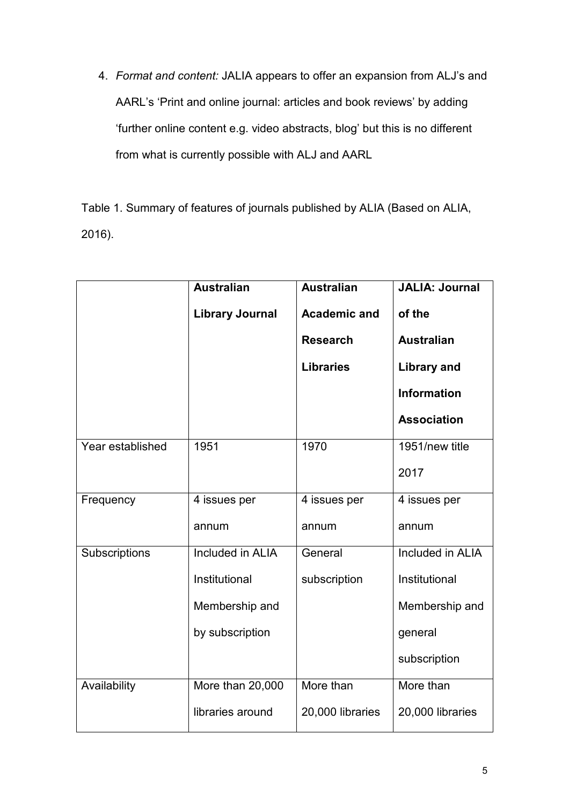4. *Format and content:* JALIA appears to offer an expansion from ALJ's and AARL's 'Print and online journal: articles and book reviews' by adding 'further online content e.g. video abstracts, blog' but this is no different from what is currently possible with ALJ and AARL

Table 1. Summary of features of journals published by ALIA (Based on ALIA, 2016).

|                  | <b>Australian</b>       | <b>Australian</b>                      | <b>JALIA: Journal</b>       |
|------------------|-------------------------|----------------------------------------|-----------------------------|
|                  | <b>Library Journal</b>  | <b>Academic and</b><br><b>Research</b> | of the<br><b>Australian</b> |
|                  |                         |                                        |                             |
|                  |                         | <b>Libraries</b>                       | <b>Library and</b>          |
|                  |                         |                                        | <b>Information</b>          |
|                  |                         |                                        | <b>Association</b>          |
| Year established | 1951                    | 1970                                   | 1951/new title              |
|                  |                         |                                        | 2017                        |
| Frequency        | 4 issues per            | 4 issues per                           | 4 issues per                |
|                  | annum                   | annum                                  | annum                       |
| Subscriptions    | <b>Included in ALIA</b> | General                                | <b>Included in ALIA</b>     |
|                  | Institutional           | subscription                           | Institutional               |
|                  | Membership and          |                                        | Membership and              |
|                  | by subscription         |                                        | general                     |
|                  |                         |                                        | subscription                |
| Availability     | More than 20,000        | More than                              | More than                   |
|                  | libraries around        | 20,000 libraries                       | 20,000 libraries            |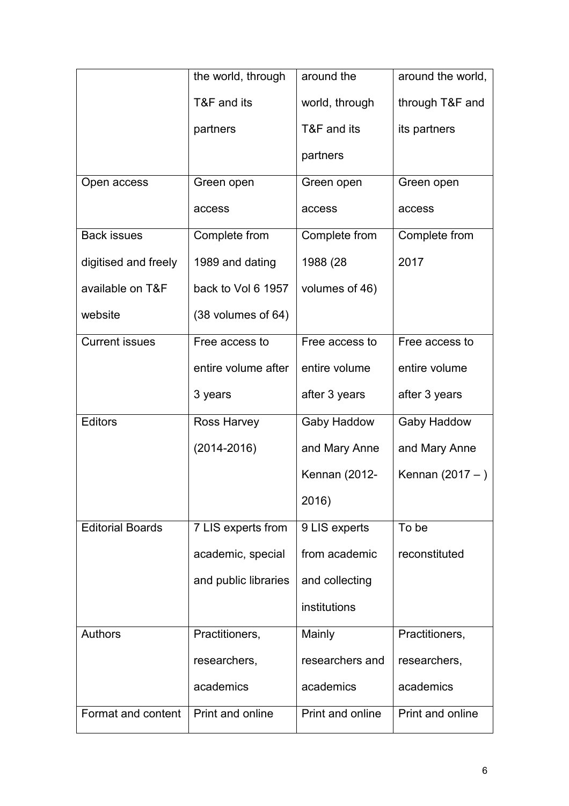|                         | the world, through            | around the           | around the world, |
|-------------------------|-------------------------------|----------------------|-------------------|
|                         | T&F and its                   | world, through       | through T&F and   |
|                         | partners                      | T&F and its          | its partners      |
|                         |                               | partners             |                   |
| Open access             | Green open                    | Green open           | Green open        |
|                         | access                        | access               | access            |
| <b>Back issues</b>      | Complete from                 | Complete from        | Complete from     |
| digitised and freely    | 1989 and dating               | 1988 (28             | 2017              |
| available on T&F        | back to Vol 6 1957            | volumes of 46)       |                   |
| website                 | $(38 \text{ volumes of } 64)$ |                      |                   |
| <b>Current issues</b>   | Free access to                | Free access to       | Free access to    |
|                         | entire volume after           | entire volume        | entire volume     |
|                         | 3 years                       | after 3 years        | after 3 years     |
| <b>Editors</b>          | <b>Ross Harvey</b>            | Gaby Haddow          | Gaby Haddow       |
|                         | $(2014 - 2016)$               | and Mary Anne        | and Mary Anne     |
|                         |                               | <b>Kennan (2012-</b> | Kennan (2017 - )  |
|                         |                               | 2016)                |                   |
| <b>Editorial Boards</b> | 7 LIS experts from            | 9 LIS experts        | To be             |
|                         | academic, special             | from academic        | reconstituted     |
|                         | and public libraries          | and collecting       |                   |
|                         |                               | institutions         |                   |
| <b>Authors</b>          | Practitioners,                | Mainly               | Practitioners,    |
|                         | researchers,                  | researchers and      | researchers,      |
|                         | academics                     | academics            | academics         |
| Format and content      | Print and online              | Print and online     | Print and online  |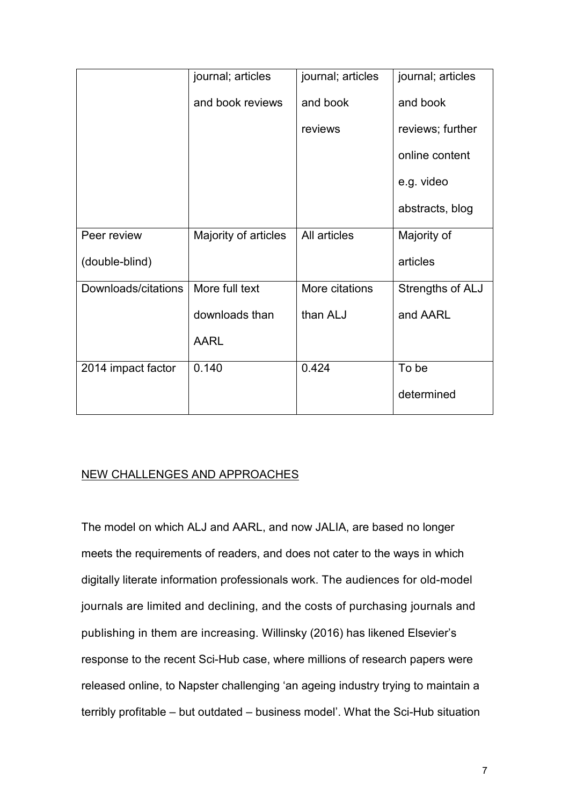|                     | journal; articles    | journal; articles | journal; articles |
|---------------------|----------------------|-------------------|-------------------|
|                     | and book reviews     | and book          | and book          |
|                     |                      | reviews           | reviews; further  |
|                     |                      |                   | online content    |
|                     |                      |                   | e.g. video        |
|                     |                      |                   | abstracts, blog   |
| Peer review         | Majority of articles | All articles      | Majority of       |
| (double-blind)      |                      |                   | articles          |
| Downloads/citations | More full text       | More citations    | Strengths of ALJ  |
|                     | downloads than       | than ALJ          | and AARL          |
|                     | <b>AARL</b>          |                   |                   |
| 2014 impact factor  | 0.140                | 0.424             | To be             |
|                     |                      |                   | determined        |

# NEW CHALLENGES AND APPROACHES

The model on which ALJ and AARL, and now JALIA, are based no longer meets the requirements of readers, and does not cater to the ways in which digitally literate information professionals work. The audiences for old-model journals are limited and declining, and the costs of purchasing journals and publishing in them are increasing. Willinsky (2016) has likened Elsevier's response to the recent Sci-Hub case, where millions of research papers were released online, to Napster challenging 'an ageing industry trying to maintain a terribly profitable – but outdated – business model'. What the Sci-Hub situation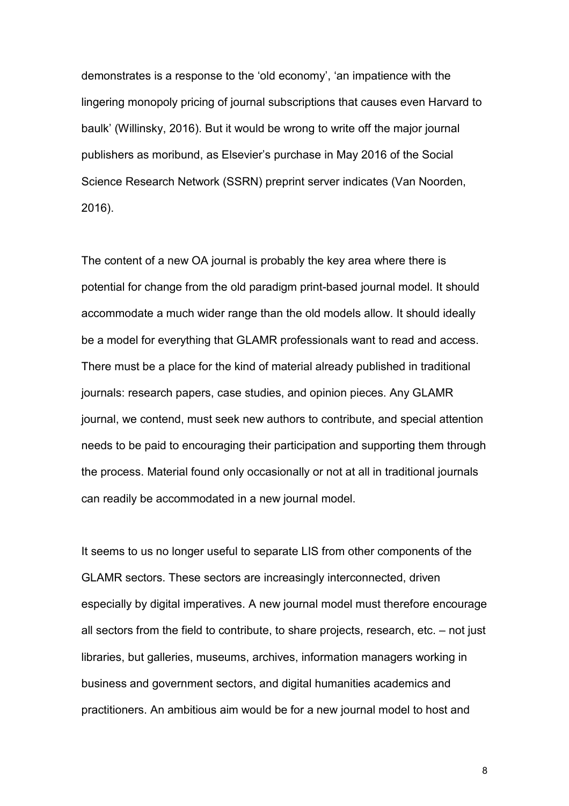demonstrates is a response to the 'old economy', 'an impatience with the lingering monopoly pricing of journal subscriptions that causes even Harvard to baulk' (Willinsky, 2016). But it would be wrong to write off the major journal publishers as moribund, as Elsevier's purchase in May 2016 of the Social Science Research Network (SSRN) preprint server indicates (Van Noorden, 2016).

The content of a new OA journal is probably the key area where there is potential for change from the old paradigm print-based journal model. It should accommodate a much wider range than the old models allow. It should ideally be a model for everything that GLAMR professionals want to read and access. There must be a place for the kind of material already published in traditional journals: research papers, case studies, and opinion pieces. Any GLAMR journal, we contend, must seek new authors to contribute, and special attention needs to be paid to encouraging their participation and supporting them through the process. Material found only occasionally or not at all in traditional journals can readily be accommodated in a new journal model.

It seems to us no longer useful to separate LIS from other components of the GLAMR sectors. These sectors are increasingly interconnected, driven especially by digital imperatives. A new journal model must therefore encourage all sectors from the field to contribute, to share projects, research, etc. – not just libraries, but galleries, museums, archives, information managers working in business and government sectors, and digital humanities academics and practitioners. An ambitious aim would be for a new journal model to host and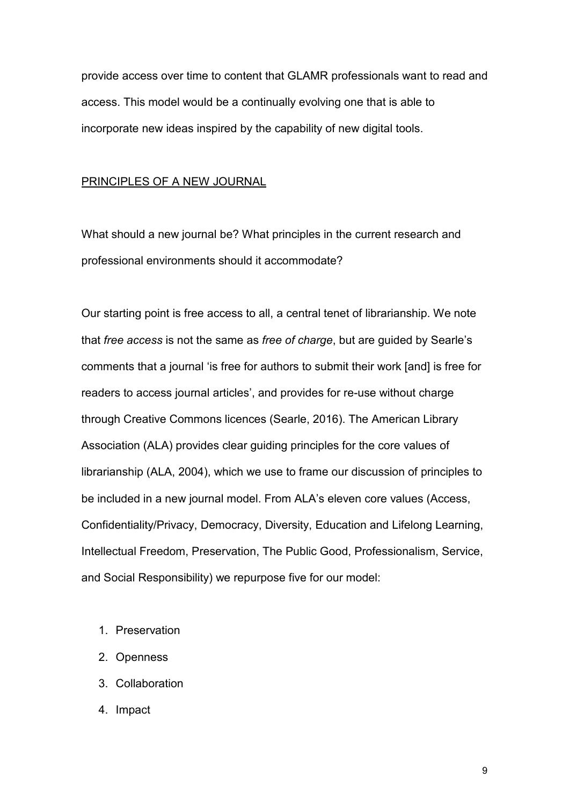provide access over time to content that GLAMR professionals want to read and access. This model would be a continually evolving one that is able to incorporate new ideas inspired by the capability of new digital tools.

#### PRINCIPLES OF A NEW JOURNAL

What should a new journal be? What principles in the current research and professional environments should it accommodate?

Our starting point is free access to all, a central tenet of librarianship. We note that *free access* is not the same as *free of charge*, but are guided by Searle's comments that a journal 'is free for authors to submit their work [and] is free for readers to access journal articles', and provides for re-use without charge through Creative Commons licences (Searle, 2016). The American Library Association (ALA) provides clear guiding principles for the core values of librarianship (ALA, 2004), which we use to frame our discussion of principles to be included in a new journal model. From ALA's eleven core values (Access, Confidentiality/Privacy, Democracy, Diversity, Education and Lifelong Learning, Intellectual Freedom, Preservation, The Public Good, Professionalism, Service, and Social Responsibility) we repurpose five for our model:

- 1. Preservation
- 2. Openness
- 3. Collaboration
- 4. Impact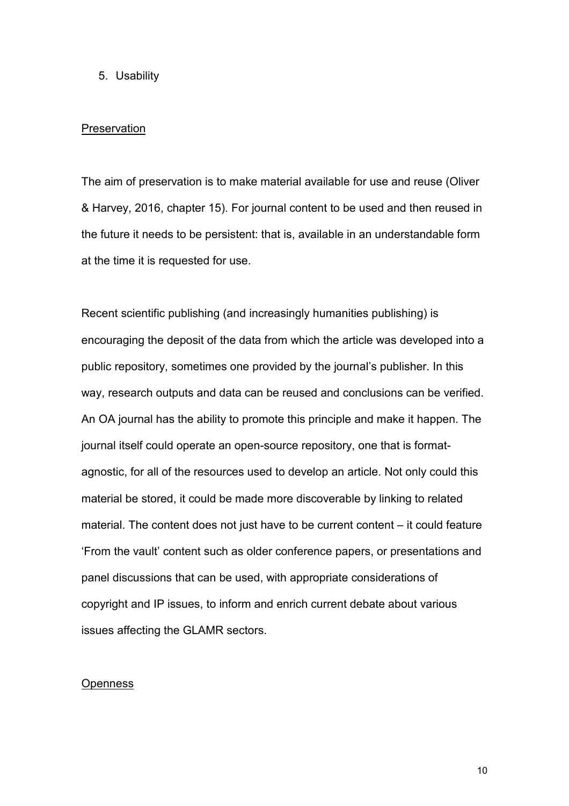## 5. Usability

#### **Preservation**

The aim of preservation is to make material available for use and reuse (Oliver & Harvey, 2016, chapter 15). For journal content to be used and then reused in the future it needs to be persistent: that is, available in an understandable form at the time it is requested for use.

Recent scientific publishing (and increasingly humanities publishing) is encouraging the deposit of the data from which the article was developed into a public repository, sometimes one provided by the journal's publisher. In this way, research outputs and data can be reused and conclusions can be verified. An OA journal has the ability to promote this principle and make it happen. The journal itself could operate an open-source repository, one that is formatagnostic, for all of the resources used to develop an article. Not only could this material be stored, it could be made more discoverable by linking to related material. The content does not just have to be current content – it could feature 'From the vault' content such as older conference papers, or presentations and panel discussions that can be used, with appropriate considerations of copyright and IP issues, to inform and enrich current debate about various issues affecting the GLAMR sectors.

#### **Openness**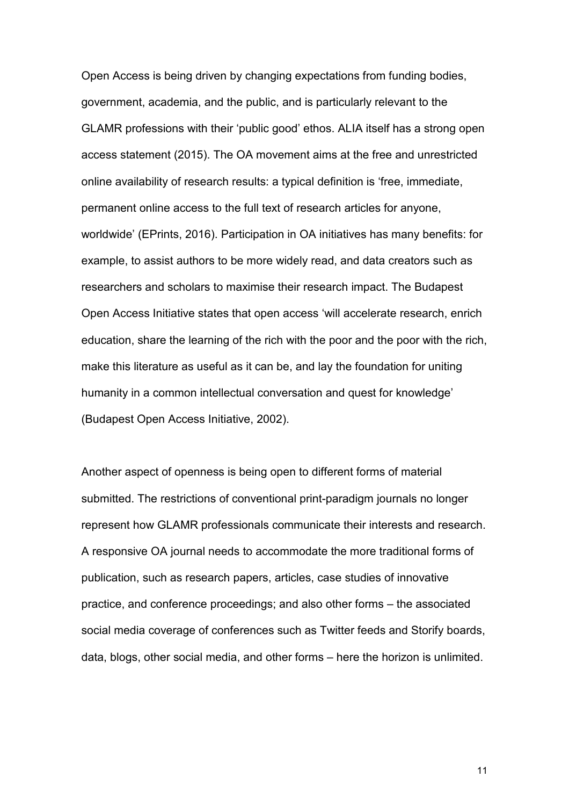Open Access is being driven by changing expectations from funding bodies, government, academia, and the public, and is particularly relevant to the GLAMR professions with their 'public good' ethos. ALIA itself has a strong open access statement (2015). The OA movement aims at the free and unrestricted online availability of research results: a typical definition is 'free, immediate, permanent online access to the full text of research articles for anyone, worldwide' (EPrints, 2016). Participation in OA initiatives has many benefits: for example, to assist authors to be more widely read, and data creators such as researchers and scholars to maximise their research impact. The Budapest Open Access Initiative states that open access 'will accelerate research, enrich education, share the learning of the rich with the poor and the poor with the rich, make this literature as useful as it can be, and lay the foundation for uniting humanity in a common intellectual conversation and quest for knowledge' (Budapest Open Access Initiative, 2002).

Another aspect of openness is being open to different forms of material submitted. The restrictions of conventional print-paradigm journals no longer represent how GLAMR professionals communicate their interests and research. A responsive OA journal needs to accommodate the more traditional forms of publication, such as research papers, articles, case studies of innovative practice, and conference proceedings; and also other forms – the associated social media coverage of conferences such as Twitter feeds and Storify boards, data, blogs, other social media, and other forms – here the horizon is unlimited.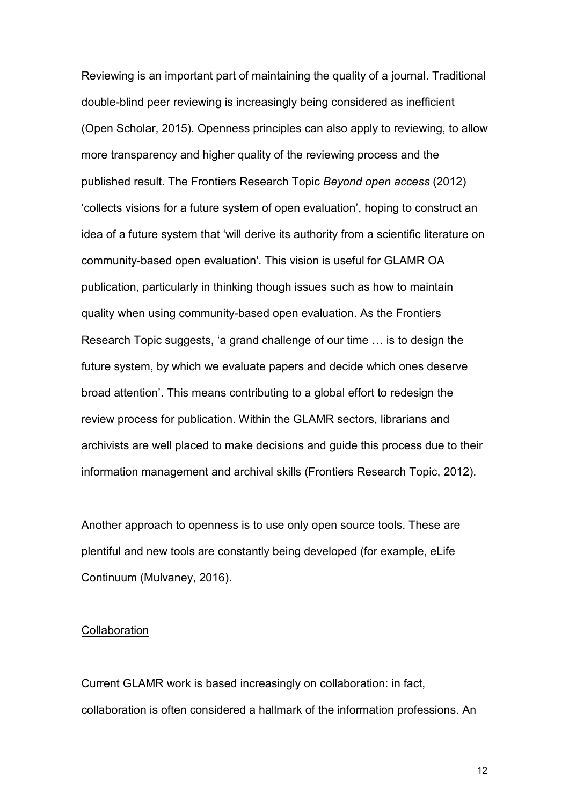Reviewing is an important part of maintaining the quality of a journal. Traditional double-blind peer reviewing is increasingly being considered as inefficient (Open Scholar, 2015). Openness principles can also apply to reviewing, to allow more transparency and higher quality of the reviewing process and the published result. The Frontiers Research Topic *Beyond open access* (2012) 'collects visions for a future system of open evaluation', hoping to construct an idea of a future system that 'will derive its authority from a scientific literature on community-based open evaluation'. This vision is useful for GLAMR OA publication, particularly in thinking though issues such as how to maintain quality when using community-based open evaluation. As the Frontiers Research Topic suggests, 'a grand challenge of our time … is to design the future system, by which we evaluate papers and decide which ones deserve broad attention'. This means contributing to a global effort to redesign the review process for publication. Within the GLAMR sectors, librarians and archivists are well placed to make decisions and guide this process due to their information management and archival skills (Frontiers Research Topic, 2012).

Another approach to openness is to use only open source tools. These are plentiful and new tools are constantly being developed (for example, eLife Continuum (Mulvaney, 2016).

# **Collaboration**

Current GLAMR work is based increasingly on collaboration: in fact, collaboration is often considered a hallmark of the information professions. An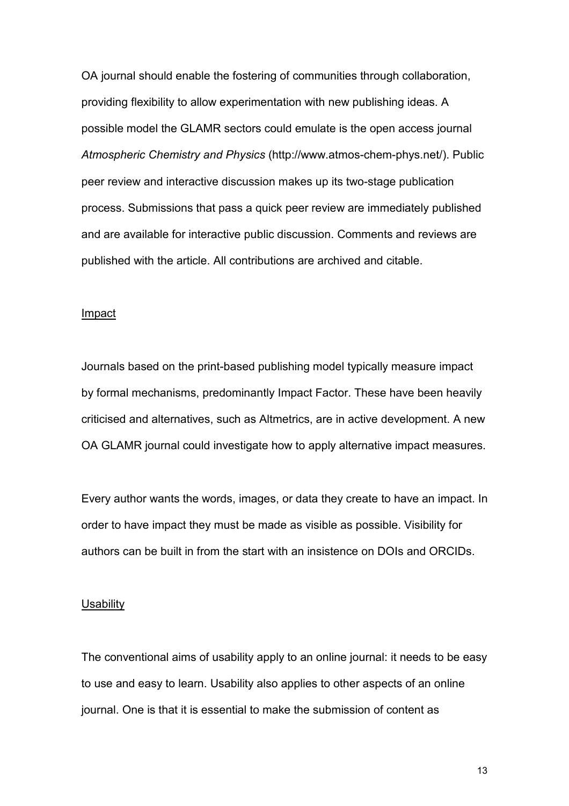OA journal should enable the fostering of communities through collaboration, providing flexibility to allow experimentation with new publishing ideas. A possible model the GLAMR sectors could emulate is the open access journal *Atmospheric Chemistry and Physics* (http://www.atmos-chem-phys.net/). Public peer review and interactive discussion makes up its two-stage publication process. Submissions that pass a quick peer review are immediately published and are available for interactive public discussion. Comments and reviews are published with the article. All contributions are archived and citable.

#### Impact

Journals based on the print-based publishing model typically measure impact by formal mechanisms, predominantly Impact Factor. These have been heavily criticised and alternatives, such as Altmetrics, are in active development. A new OA GLAMR journal could investigate how to apply alternative impact measures.

Every author wants the words, images, or data they create to have an impact. In order to have impact they must be made as visible as possible. Visibility for authors can be built in from the start with an insistence on DOIs and ORCIDs.

#### **Usability**

The conventional aims of usability apply to an online journal: it needs to be easy to use and easy to learn. Usability also applies to other aspects of an online journal. One is that it is essential to make the submission of content as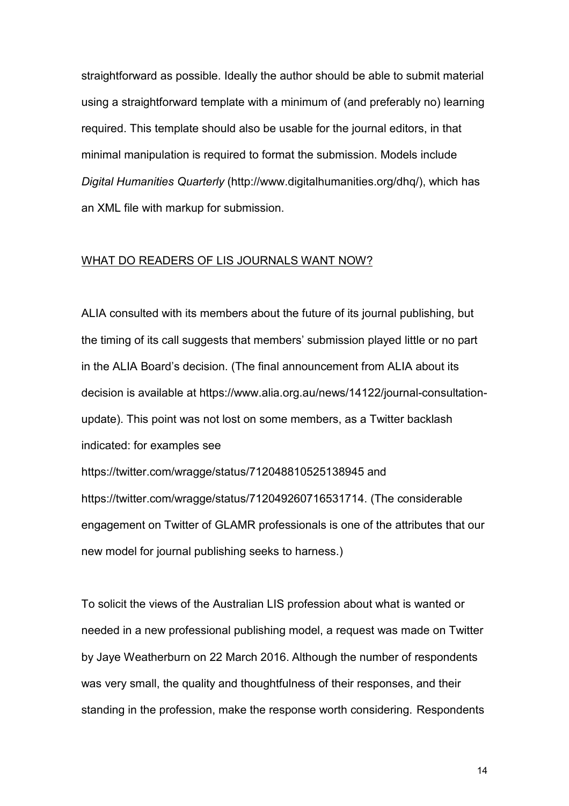straightforward as possible. Ideally the author should be able to submit material using a straightforward template with a minimum of (and preferably no) learning required. This template should also be usable for the journal editors, in that minimal manipulation is required to format the submission. Models include *Digital Humanities Quarterly* (http://www.digitalhumanities.org/dhq/), which has an XML file with markup for submission.

## WHAT DO READERS OF LIS JOURNALS WANT NOW?

ALIA consulted with its members about the future of its journal publishing, but the timing of its call suggests that members' submission played little or no part in the ALIA Board's decision. (The final announcement from ALIA about its decision is available at https://www.alia.org.au/news/14122/journal-consultationupdate). This point was not lost on some members, as a Twitter backlash indicated: for examples see https://twitter.com/wragge/status/712048810525138945 and https://twitter.com/wragge/status/712049260716531714. (The considerable engagement on Twitter of GLAMR professionals is one of the attributes that our

new model for journal publishing seeks to harness.)

To solicit the views of the Australian LIS profession about what is wanted or needed in a new professional publishing model, a request was made on Twitter by Jaye Weatherburn on 22 March 2016. Although the number of respondents was very small, the quality and thoughtfulness of their responses, and their standing in the profession, make the response worth considering. Respondents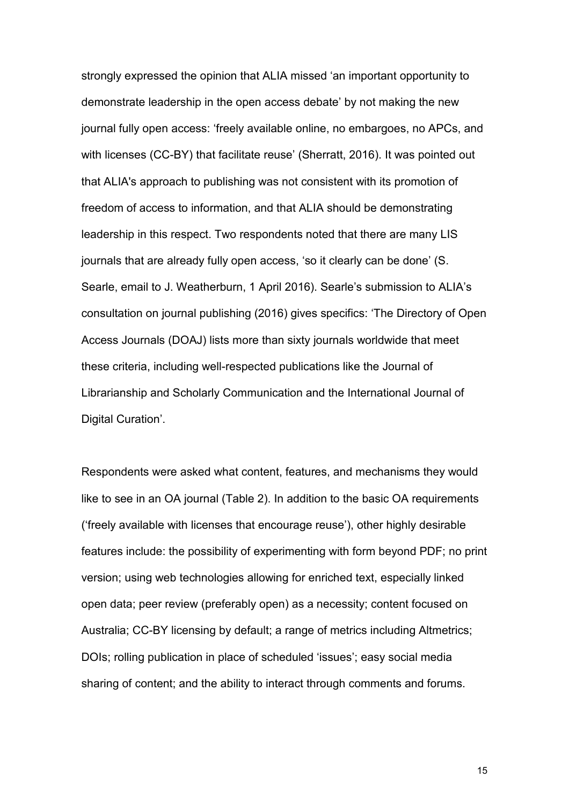strongly expressed the opinion that ALIA missed 'an important opportunity to demonstrate leadership in the open access debate' by not making the new journal fully open access: 'freely available online, no embargoes, no APCs, and with licenses (CC-BY) that facilitate reuse' (Sherratt, 2016). It was pointed out that ALIA's approach to publishing was not consistent with its promotion of freedom of access to information, and that ALIA should be demonstrating leadership in this respect. Two respondents noted that there are many LIS journals that are already fully open access, 'so it clearly can be done' (S. Searle, email to J. Weatherburn, 1 April 2016). Searle's submission to ALIA's consultation on journal publishing (2016) gives specifics: 'The [Directory of Open](https://doaj.org/)  [Access Journals](https://doaj.org/) (DOAJ) lists more than sixty journals worldwide that meet these criteria, including well-respected publications like the [Journal of](http://jlsc-pub.org/)  [Librarianship and Scholarly Communication](http://jlsc-pub.org/) and the [International Journal of](http://www.ijdc.net/)  [Digital Curation'](http://www.ijdc.net/).

Respondents were asked what content, features, and mechanisms they would like to see in an OA journal (Table 2). In addition to the basic OA requirements ('freely available with licenses that encourage reuse'), other highly desirable features include: the possibility of experimenting with form beyond PDF; no print version; using web technologies allowing for enriched text, especially linked open data; peer review (preferably open) as a necessity; content focused on Australia; CC-BY licensing by default; a range of metrics including Altmetrics; DOIs; rolling publication in place of scheduled 'issues'; easy social media sharing of content; and the ability to interact through comments and forums.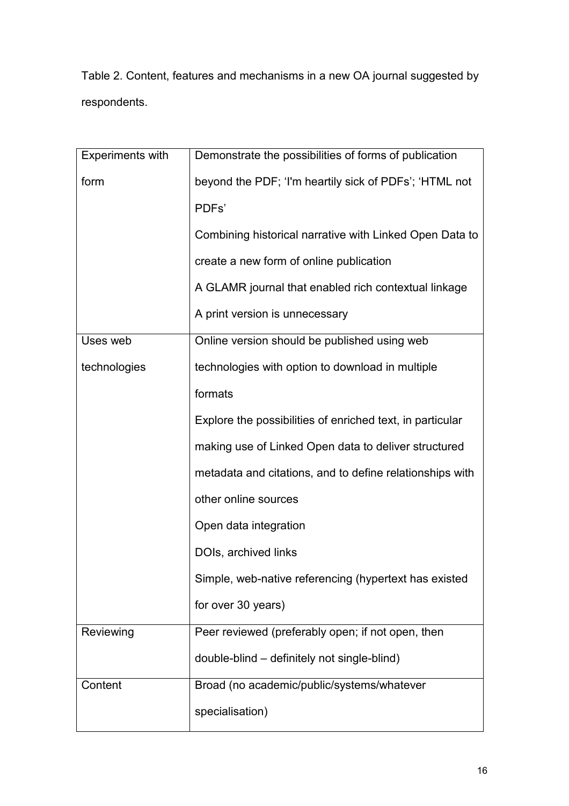Table 2. Content, features and mechanisms in a new OA journal suggested by respondents.

| <b>Experiments with</b> | Demonstrate the possibilities of forms of publication     |
|-------------------------|-----------------------------------------------------------|
| form                    | beyond the PDF; 'I'm heartily sick of PDFs'; 'HTML not    |
|                         | PDFs'                                                     |
|                         | Combining historical narrative with Linked Open Data to   |
|                         | create a new form of online publication                   |
|                         | A GLAMR journal that enabled rich contextual linkage      |
|                         | A print version is unnecessary                            |
| Uses web                | Online version should be published using web              |
| technologies            | technologies with option to download in multiple          |
|                         | formats                                                   |
|                         | Explore the possibilities of enriched text, in particular |
|                         | making use of Linked Open data to deliver structured      |
|                         | metadata and citations, and to define relationships with  |
|                         | other online sources                                      |
|                         | Open data integration                                     |
|                         | DOIs, archived links                                      |
|                         | Simple, web-native referencing (hypertext has existed     |
|                         | for over 30 years)                                        |
| Reviewing               | Peer reviewed (preferably open; if not open, then         |
|                         | double-blind – definitely not single-blind)               |
| Content                 | Broad (no academic/public/systems/whatever                |
|                         | specialisation)                                           |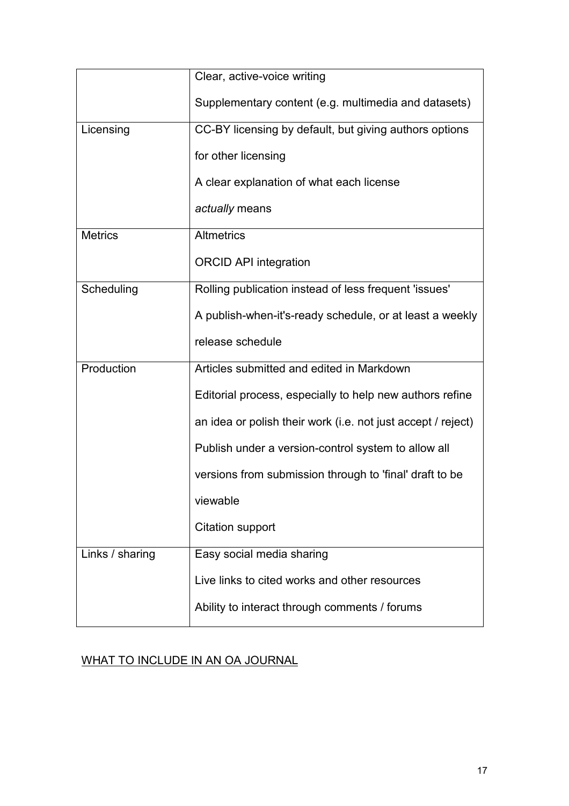|                 | Clear, active-voice writing                                  |
|-----------------|--------------------------------------------------------------|
|                 | Supplementary content (e.g. multimedia and datasets)         |
| Licensing       | CC-BY licensing by default, but giving authors options       |
|                 | for other licensing                                          |
|                 | A clear explanation of what each license                     |
|                 | actually means                                               |
| <b>Metrics</b>  | <b>Altmetrics</b>                                            |
|                 | <b>ORCID API integration</b>                                 |
| Scheduling      | Rolling publication instead of less frequent 'issues'        |
|                 | A publish-when-it's-ready schedule, or at least a weekly     |
|                 | release schedule                                             |
| Production      | Articles submitted and edited in Markdown                    |
|                 | Editorial process, especially to help new authors refine     |
|                 | an idea or polish their work (i.e. not just accept / reject) |
|                 | Publish under a version-control system to allow all          |
|                 | versions from submission through to 'final' draft to be      |
|                 | viewable                                                     |
|                 | <b>Citation support</b>                                      |
| Links / sharing | Easy social media sharing                                    |
|                 | Live links to cited works and other resources                |
|                 | Ability to interact through comments / forums                |

# WHAT TO INCLUDE IN AN OA JOURNAL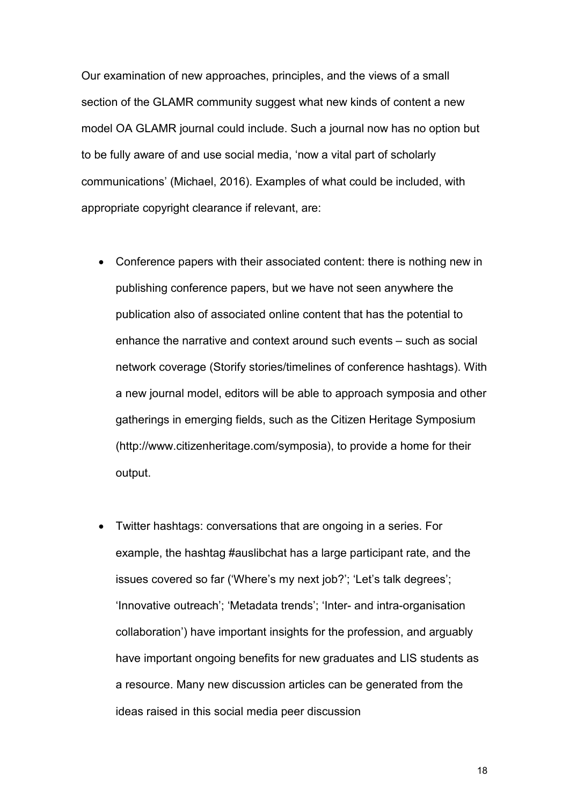Our examination of new approaches, principles, and the views of a small section of the GLAMR community suggest what new kinds of content a new model OA GLAMR journal could include. Such a journal now has no option but to be fully aware of and use social media, 'now a vital part of scholarly communications' (Michael, 2016). Examples of what could be included, with appropriate copyright clearance if relevant, are:

- Conference papers with their associated content: there is nothing new in publishing conference papers, but we have not seen anywhere the publication also of associated online content that has the potential to enhance the narrative and context around such events – such as social network coverage (Storify stories/timelines of conference hashtags). With a new journal model, editors will be able to approach symposia and other gatherings in emerging fields, such as the Citizen Heritage Symposium (http://www.citizenheritage.com/symposia), to provide a home for their output.
- Twitter hashtags: conversations that are ongoing in a series. For example, the hashtag #auslibchat has a large participant rate, and the issues covered so far ('Where's my next job?'; 'Let's talk degrees'; 'Innovative outreach'; 'Metadata trends'; 'Inter- and intra-organisation collaboration') have important insights for the profession, and arguably have important ongoing benefits for new graduates and LIS students as a resource. Many new discussion articles can be generated from the ideas raised in this social media peer discussion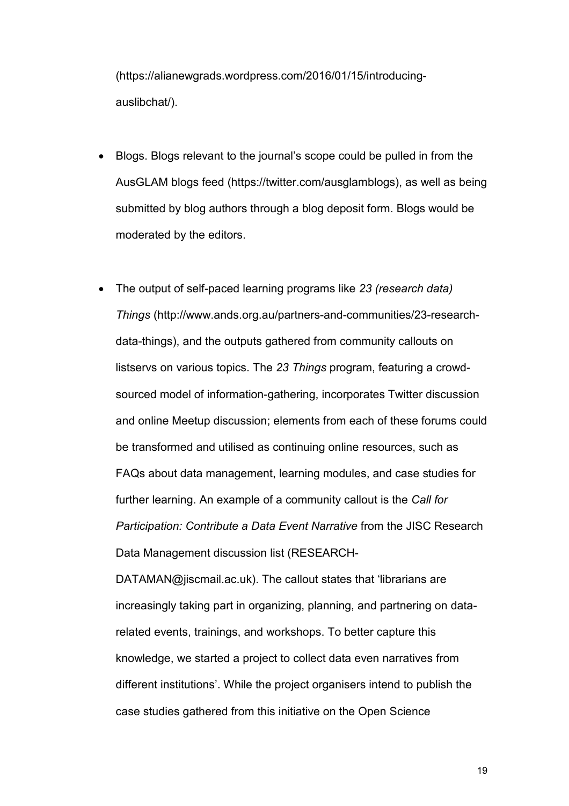[\(https://alianewgrads.wordpress.com/2016/01/15/introducing](https://alianewgrads.wordpress.com/2016/01/15/introducing-auslibchat/)[auslibchat/\)](https://alianewgrads.wordpress.com/2016/01/15/introducing-auslibchat/).

- Blogs. Blogs relevant to the journal's scope could be pulled in from the AusGLAM blogs feed (https://twitter.com/ausglamblogs), as well as being submitted by blog authors through a blog deposit form. Blogs would be moderated by the editors.
- The output of self-paced learning programs like *23 (research data) Things* (http://www.ands.org.au/partners-and-communities/23-researchdata-things), and the outputs gathered from community callouts on listservs on various topics. The *23 Things* program, featuring a crowdsourced model of information-gathering, incorporates Twitter discussion and online Meetup discussion; elements from each of these forums could be transformed and utilised as continuing online resources, such as FAQs about data management, learning modules, and case studies for further learning. An example of a community callout is the *Call for Participation: Contribute a Data Event Narrative* from the JISC Research Data Management discussion list (RESEARCH-

DATAMAN@jiscmail.ac.uk). The callout states that 'librarians are increasingly taking part in organizing, planning, and partnering on datarelated events, trainings, and workshops. To better capture this knowledge, we started a project to collect data even narratives from different institutions'. While the project organisers intend to publish the case studies gathered from this initiative on the Open Science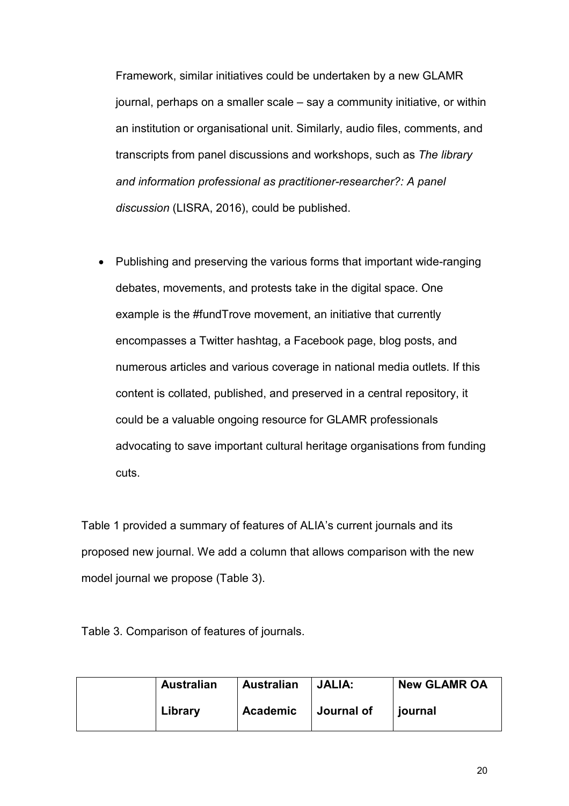Framework, similar initiatives could be undertaken by a new GLAMR journal, perhaps on a smaller scale – say a community initiative, or within an institution or organisational unit. Similarly, audio files, comments, and transcripts from panel discussions and workshops, such as *The library and information professional as practitioner-researcher?: A panel discussion* (LISRA, 2016), could be published.

• Publishing and preserving the various forms that important wide-ranging debates, movements, and protests take in the digital space. One example is the #fundTrove movement, an initiative that currently encompasses a Twitter hashtag, a Facebook page, blog posts, and numerous articles and various coverage in national media outlets. If this content is collated, published, and preserved in a central repository, it could be a valuable ongoing resource for GLAMR professionals advocating to save important cultural heritage organisations from funding cuts.

Table 1 provided a summary of features of ALIA's current journals and its proposed new journal. We add a column that allows comparison with the new model journal we propose (Table 3).

Table 3. Comparison of features of journals.

| <b>Australian</b> | <b>Australian</b> | JALIA:     | <b>New GLAMR OA</b> |
|-------------------|-------------------|------------|---------------------|
| Library           | <b>Academic</b>   | Journal of | journal             |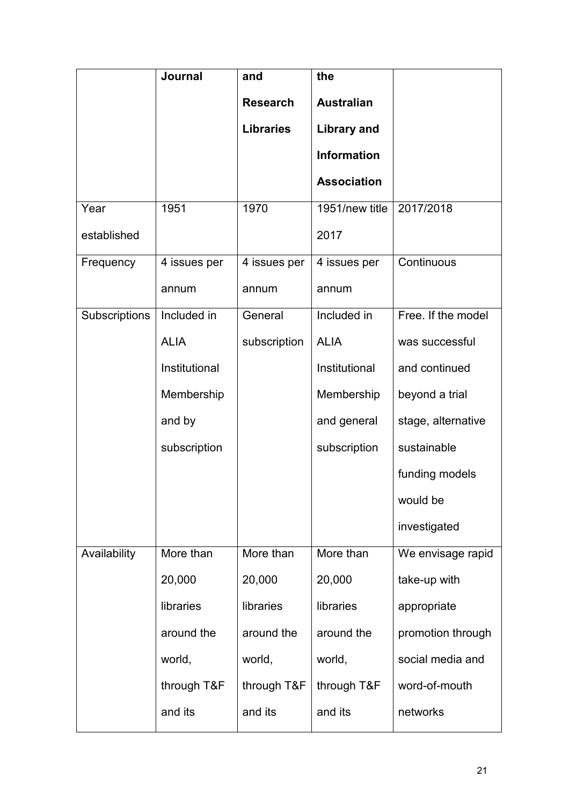|                      | <b>Journal</b> | and              | the                |                    |
|----------------------|----------------|------------------|--------------------|--------------------|
|                      |                | <b>Research</b>  | <b>Australian</b>  |                    |
|                      |                | <b>Libraries</b> | <b>Library and</b> |                    |
|                      |                |                  | <b>Information</b> |                    |
|                      |                |                  | <b>Association</b> |                    |
| Year                 | 1951           | 1970             | 1951/new title     | 2017/2018          |
| established          |                |                  | 2017               |                    |
| Frequency            | 4 issues per   | 4 issues per     | 4 issues per       | Continuous         |
|                      | annum          | annum            | annum              |                    |
| <b>Subscriptions</b> | Included in    | General          | Included in        | Free. If the model |
|                      | <b>ALIA</b>    | subscription     | <b>ALIA</b>        | was successful     |
|                      | Institutional  |                  | Institutional      | and continued      |
|                      | Membership     |                  | Membership         | beyond a trial     |
|                      | and by         |                  | and general        | stage, alternative |
|                      | subscription   |                  | subscription       | sustainable        |
|                      |                |                  |                    | funding models     |
|                      |                |                  |                    | would be           |
|                      |                |                  |                    | investigated       |
| Availability         | More than      | More than        | More than          | We envisage rapid  |
|                      | 20,000         | 20,000           | 20,000             | take-up with       |
|                      | libraries      | libraries        | libraries          | appropriate        |
|                      | around the     | around the       | around the         | promotion through  |
|                      | world,         | world,           | world,             | social media and   |
|                      | through T&F    | through T&F      | through T&F        | word-of-mouth      |
|                      | and its        | and its          | and its            | networks           |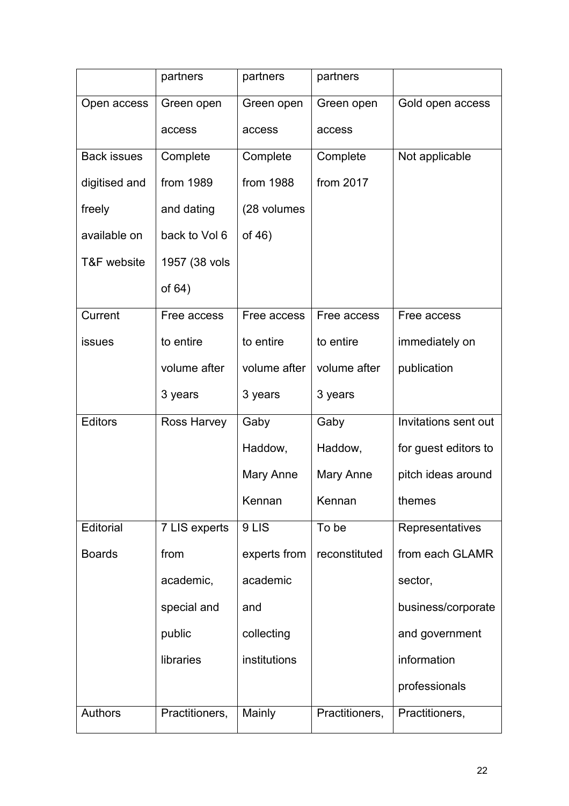|                    | partners       | partners     | partners       |                      |
|--------------------|----------------|--------------|----------------|----------------------|
| Open access        | Green open     | Green open   | Green open     | Gold open access     |
|                    | access         | access       | access         |                      |
| <b>Back issues</b> | Complete       | Complete     | Complete       | Not applicable       |
| digitised and      | from 1989      | from 1988    | from 2017      |                      |
| freely             | and dating     | (28 volumes  |                |                      |
| available on       | back to Vol 6  | of $46)$     |                |                      |
| T&F website        | 1957 (38 vols  |              |                |                      |
|                    | of $64)$       |              |                |                      |
| Current            | Free access    | Free access  | Free access    | Free access          |
| <b>issues</b>      | to entire      | to entire    | to entire      | immediately on       |
|                    | volume after   | volume after | volume after   | publication          |
|                    | 3 years        | 3 years      | 3 years        |                      |
| <b>Editors</b>     | Ross Harvey    | Gaby         | Gaby           | Invitations sent out |
|                    |                | Haddow,      | Haddow,        | for guest editors to |
|                    |                | Mary Anne    | Mary Anne      | pitch ideas around   |
|                    |                | Kennan       | Kennan         | themes               |
| Editorial          | 7 LIS experts  | 9LIS         | To be          | Representatives      |
| <b>Boards</b>      | from           | experts from | reconstituted  | from each GLAMR      |
|                    | academic,      | academic     |                | sector,              |
|                    | special and    | and          |                | business/corporate   |
|                    | public         | collecting   |                | and government       |
|                    | libraries      | institutions |                | information          |
|                    |                |              |                | professionals        |
| Authors            | Practitioners, | Mainly       | Practitioners, | Practitioners,       |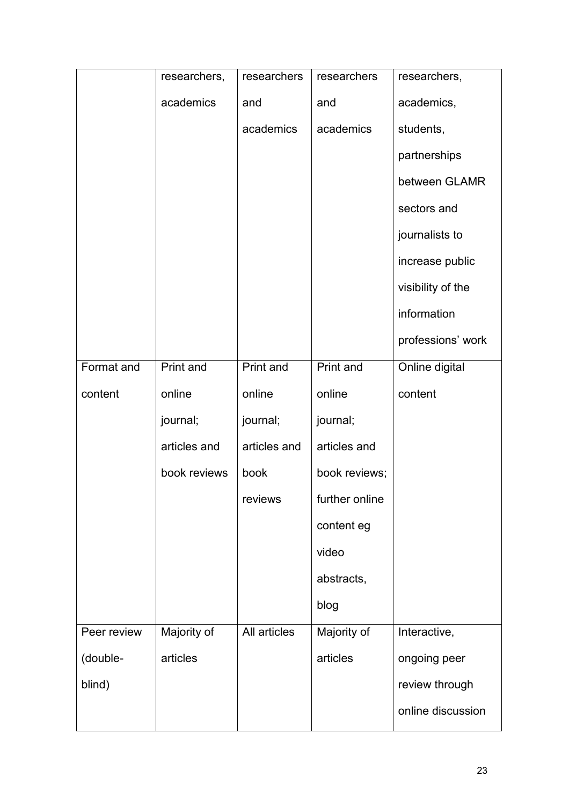|             | researchers, | researchers  | researchers    | researchers,      |
|-------------|--------------|--------------|----------------|-------------------|
|             | academics    | and          | and            | academics,        |
|             |              | academics    | academics      | students,         |
|             |              |              |                | partnerships      |
|             |              |              |                | between GLAMR     |
|             |              |              |                | sectors and       |
|             |              |              |                | journalists to    |
|             |              |              |                | increase public   |
|             |              |              |                | visibility of the |
|             |              |              |                | information       |
|             |              |              |                | professions' work |
| Format and  | Print and    | Print and    | Print and      | Online digital    |
| content     | online       | online       | online         | content           |
|             | journal;     | journal;     | journal;       |                   |
|             | articles and | articles and | articles and   |                   |
|             | book reviews | book         | book reviews;  |                   |
|             |              | reviews      | further online |                   |
|             |              |              | content eg     |                   |
|             |              |              | video          |                   |
|             |              |              | abstracts,     |                   |
|             |              |              | blog           |                   |
| Peer review | Majority of  | All articles | Majority of    | Interactive,      |
| (double-    | articles     |              | articles       | ongoing peer      |
| blind)      |              |              |                | review through    |
|             |              |              |                | online discussion |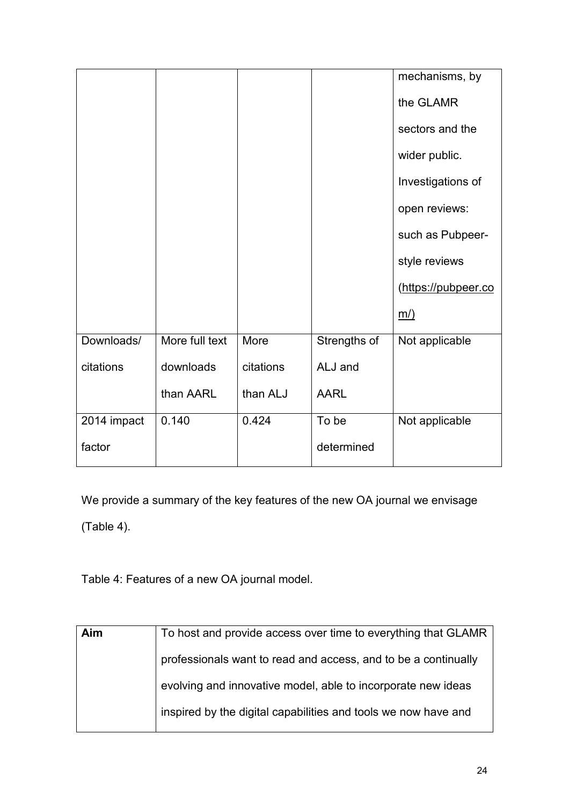|             |                |           |              | mechanisms, by      |
|-------------|----------------|-----------|--------------|---------------------|
|             |                |           |              | the GLAMR           |
|             |                |           |              | sectors and the     |
|             |                |           |              | wider public.       |
|             |                |           |              | Investigations of   |
|             |                |           |              | open reviews:       |
|             |                |           |              | such as Pubpeer-    |
|             |                |           |              | style reviews       |
|             |                |           |              | (https://pubpeer.co |
|             |                |           |              | <u>m/)</u>          |
| Downloads/  | More full text | More      | Strengths of | Not applicable      |
| citations   | downloads      | citations | ALJ and      |                     |
|             | than AARL      | than ALJ  | <b>AARL</b>  |                     |
| 2014 impact | 0.140          | 0.424     | To be        | Not applicable      |
| factor      |                |           | determined   |                     |

We provide a summary of the key features of the new OA journal we envisage

(Table 4).

Table 4: Features of a new OA journal model.

| Aim | To host and provide access over time to everything that GLAMR  |
|-----|----------------------------------------------------------------|
|     | professionals want to read and access, and to be a continually |
|     | evolving and innovative model, able to incorporate new ideas   |
|     | inspired by the digital capabilities and tools we now have and |
|     |                                                                |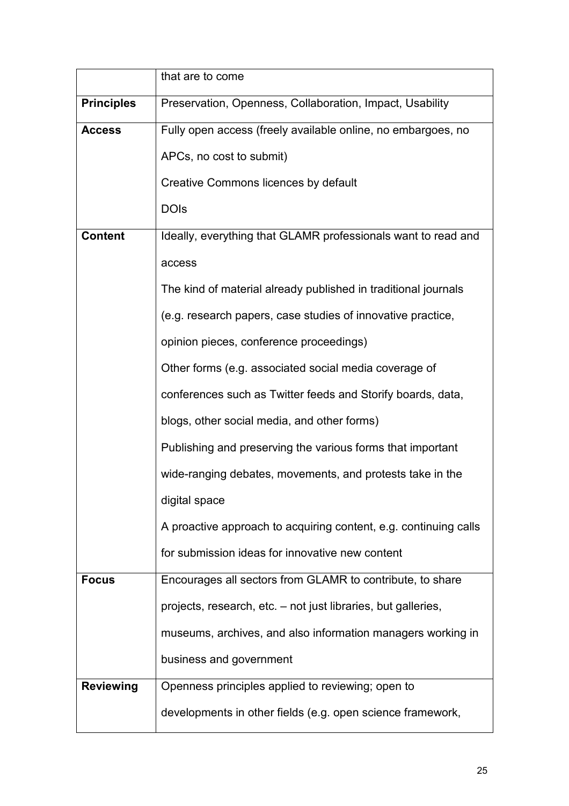|                   | that are to come                                                 |
|-------------------|------------------------------------------------------------------|
| <b>Principles</b> | Preservation, Openness, Collaboration, Impact, Usability         |
| <b>Access</b>     | Fully open access (freely available online, no embargoes, no     |
|                   | APCs, no cost to submit)                                         |
|                   | Creative Commons licences by default                             |
|                   | <b>DOIs</b>                                                      |
| <b>Content</b>    | Ideally, everything that GLAMR professionals want to read and    |
|                   | access                                                           |
|                   | The kind of material already published in traditional journals   |
|                   | (e.g. research papers, case studies of innovative practice,      |
|                   | opinion pieces, conference proceedings)                          |
|                   | Other forms (e.g. associated social media coverage of            |
|                   | conferences such as Twitter feeds and Storify boards, data,      |
|                   | blogs, other social media, and other forms)                      |
|                   | Publishing and preserving the various forms that important       |
|                   | wide-ranging debates, movements, and protests take in the        |
|                   | digital space                                                    |
|                   | A proactive approach to acquiring content, e.g. continuing calls |
|                   | for submission ideas for innovative new content                  |
| <b>Focus</b>      | Encourages all sectors from GLAMR to contribute, to share        |
|                   | projects, research, etc. - not just libraries, but galleries,    |
|                   | museums, archives, and also information managers working in      |
|                   | business and government                                          |
| <b>Reviewing</b>  | Openness principles applied to reviewing; open to                |
|                   | developments in other fields (e.g. open science framework,       |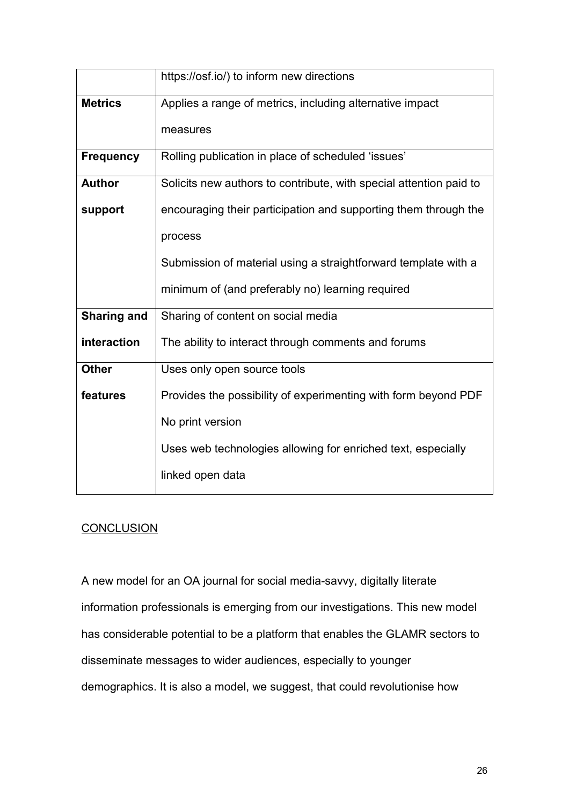|                    | https://osf.io/) to inform new directions                          |
|--------------------|--------------------------------------------------------------------|
| <b>Metrics</b>     | Applies a range of metrics, including alternative impact           |
|                    | measures                                                           |
| <b>Frequency</b>   | Rolling publication in place of scheduled 'issues'                 |
| <b>Author</b>      | Solicits new authors to contribute, with special attention paid to |
| support            | encouraging their participation and supporting them through the    |
|                    | process                                                            |
|                    | Submission of material using a straightforward template with a     |
|                    | minimum of (and preferably no) learning required                   |
| <b>Sharing and</b> | Sharing of content on social media                                 |
| interaction        | The ability to interact through comments and forums                |
| <b>Other</b>       | Uses only open source tools                                        |
| features           | Provides the possibility of experimenting with form beyond PDF     |
|                    | No print version                                                   |
|                    | Uses web technologies allowing for enriched text, especially       |
|                    | linked open data                                                   |

# **CONCLUSION**

A new model for an OA journal for social media-savvy, digitally literate information professionals is emerging from our investigations. This new model has considerable potential to be a platform that enables the GLAMR sectors to disseminate messages to wider audiences, especially to younger demographics. It is also a model, we suggest, that could revolutionise how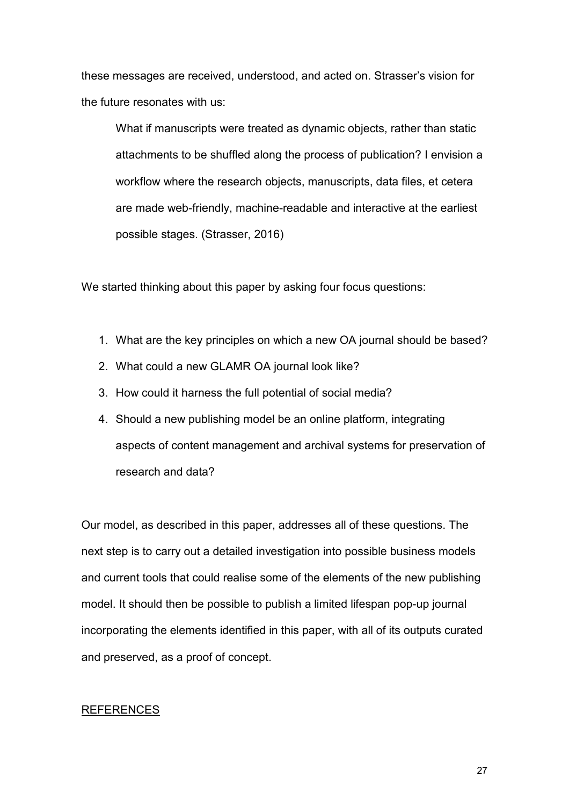these messages are received, understood, and acted on. Strasser's vision for the future resonates with us:

What if manuscripts were treated as dynamic objects, rather than static attachments to be shuffled along the process of publication? I envision a workflow where the research objects, manuscripts, data files, et cetera are made web-friendly, machine-readable and interactive at the earliest possible stages. (Strasser, 2016)

We started thinking about this paper by asking four focus questions:

- 1. What are the key principles on which a new OA journal should be based?
- 2. What could a new GLAMR OA journal look like?
- 3. How could it harness the full potential of social media?
- 4. Should a new publishing model be an online platform, integrating aspects of content management and archival systems for preservation of research and data?

Our model, as described in this paper, addresses all of these questions. The next step is to carry out a detailed investigation into possible business models and current tools that could realise some of the elements of the new publishing model. It should then be possible to publish a limited lifespan pop-up journal incorporating the elements identified in this paper, with all of its outputs curated and preserved, as a proof of concept.

#### REFERENCES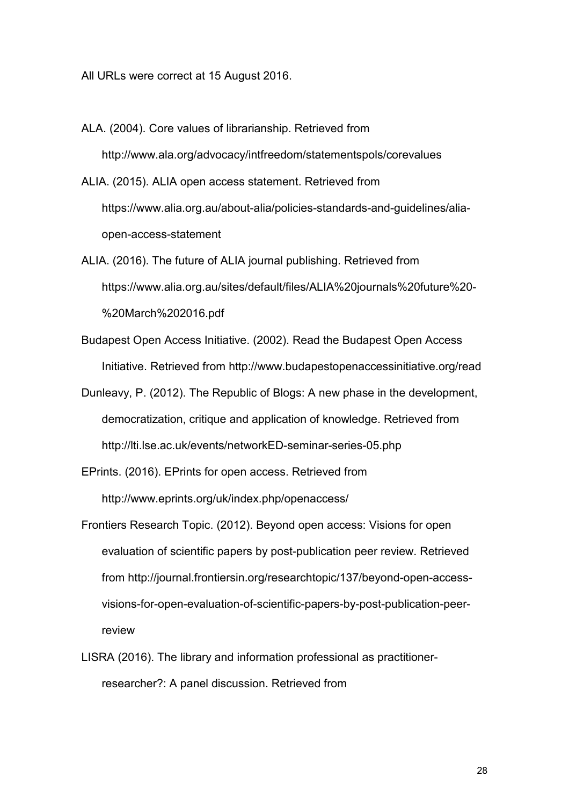All URLs were correct at 15 August 2016.

- ALA. (2004). Core values of librarianship. Retrieved from http://www.ala.org/advocacy/intfreedom/statementspols/corevalues ALIA. (2015). ALIA open access statement. Retrieved from https://www.alia.org.au/about-alia/policies-standards-and-guidelines/aliaopen-access-statement
- ALIA. (2016). The future of ALIA journal publishing. Retrieved from https://www.alia.org.au/sites/default/files/ALIA%20journals%20future%20- %20March%202016.pdf
- Budapest Open Access Initiative. (2002). Read the Budapest Open Access Initiative. Retrieved from http://www.budapestopenaccessinitiative.org/read
- Dunleavy, P. (2012). The Republic of Blogs: A new phase in the development, democratization, critique and application of knowledge. Retrieved from http://lti.lse.ac.uk/events/networkED-seminar-series-05.php
- EPrints. (2016). EPrints for open access. Retrieved from http://www.eprints.org/uk/index.php/openaccess/
- Frontiers Research Topic. (2012). Beyond open access: Visions for open evaluation of scientific papers by post-publication peer review. Retrieved from http://journal.frontiersin.org/researchtopic/137/beyond-open-accessvisions-for-open-evaluation-of-scientific-papers-by-post-publication-peerreview
- LISRA (2016). The library and information professional as practitionerresearcher?: A panel discussion. Retrieved from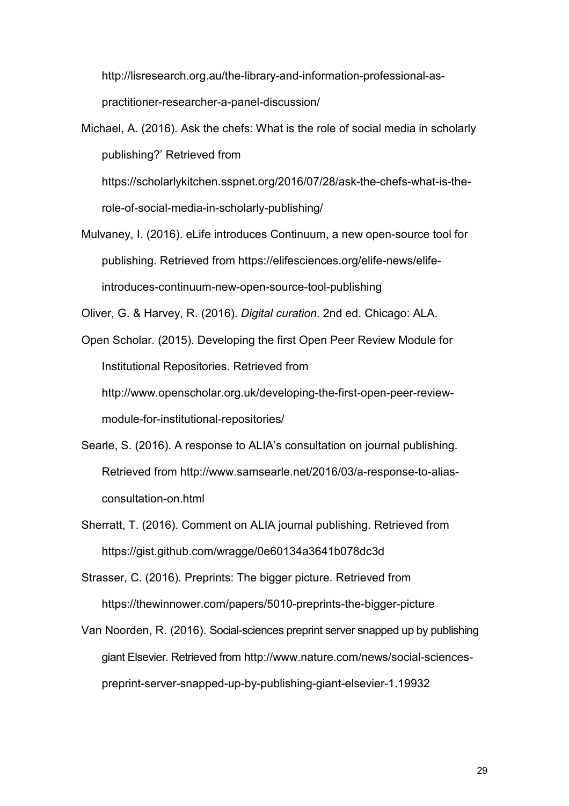http://lisresearch.org.au/the-library-and-information-professional-aspractitioner-researcher-a-panel-discussion/

Michael, A. (2016). Ask the chefs: What is the role of social media in scholarly publishing?' Retrieved from https://scholarlykitchen.sspnet.org/2016/07/28/ask-the-chefs-what-is-therole-of-social-media-in-scholarly-publishing/

Mulvaney, I. (2016). eLife introduces Continuum, a new open-source tool for publishing. Retrieved from https://elifesciences.org/elife-news/elifeintroduces-continuum-new-open-source-tool-publishing

Oliver, G. & Harvey, R. (2016). *Digital curation*. 2nd ed. Chicago: ALA.

Open Scholar. (2015). Developing the first Open Peer Review Module for Institutional Repositories. Retrieved from http://www.openscholar.org.uk/developing-the-first-open-peer-reviewmodule-for-institutional-repositories/

- Searle, S. (2016). A response to ALIA's consultation on journal publishing. Retrieved from http://www.samsearle.net/2016/03/a-response-to-aliasconsultation-on.html
- Sherratt, T. (2016). Comment on ALIA journal publishing. Retrieved from https://gist.github.com/wragge/0e60134a3641b078dc3d

Strasser, C. (2016). Preprints: The bigger picture. Retrieved from https://thewinnower.com/papers/5010-preprints-the-bigger-picture

Van Noorden, R. (2016). Social-sciences preprint server snapped up by publishing giant Elsevier. Retrieved from http://www.nature.com/news/social-sciencespreprint-server-snapped-up-by-publishing-giant-elsevier-1.19932